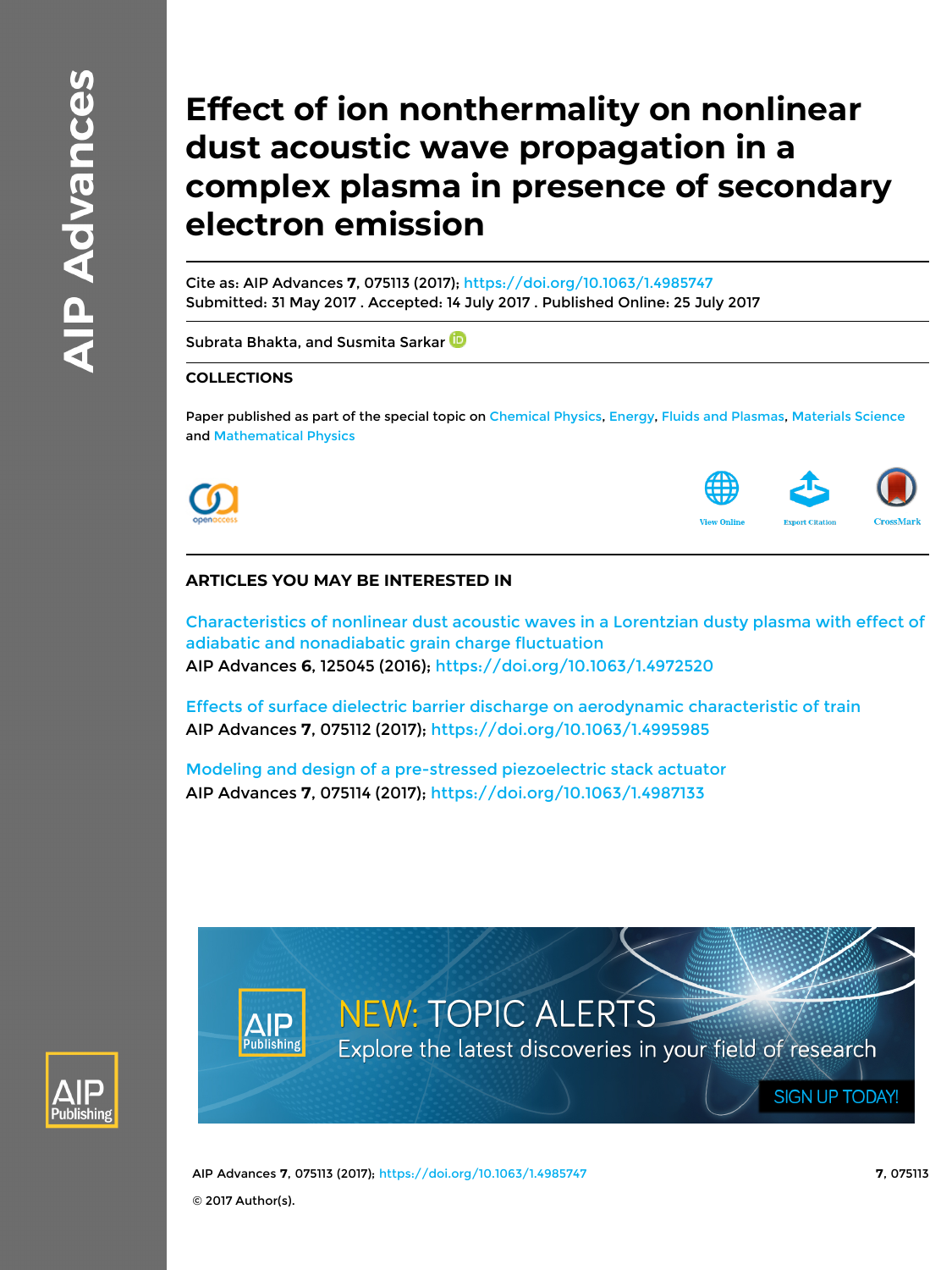# **Effect of ion nonthermality on nonlinear dust acoustic wave propagation in a complex plasma in presence of secondary electron emission**

Cite as: AIP Advances **7**, 075113 (2017);<https://doi.org/10.1063/1.4985747> Submitted: 31 May 2017 . Accepted: 14 July 2017 . Published Online: 25 July 2017

[Subrata Bhakta,](https://aip.scitation.org/author/Bhakta%2C+Subrata) and [Susmita Sarkar](https://aip.scitation.org/author/Sarkar%2C+Susmita)<sup>D</sup>

### **COLLECTIONS**

Paper published as part of the special topic on [Chemical Physics,](/topic/special-collections/cp2019?SeriesKey=adv) [Energy](/topic/special-collections/eng2019?SeriesKey=adv), [Fluids and Plasmas,](/topic/special-collections/fp2019?SeriesKey=adv) [Materials Science](/topic/special-collections/ms2019?SeriesKey=adv) and [Mathematical Physics](/topic/special-collections/mp2019?SeriesKey=adv)





## **ARTICLES YOU MAY BE INTERESTED IN**

[Characteristics of nonlinear dust acoustic waves in a Lorentzian dusty plasma with effect of](https://aip.scitation.org/doi/10.1063/1.4972520) [adiabatic and nonadiabatic grain charge fluctuation](https://aip.scitation.org/doi/10.1063/1.4972520) AIP Advances **6**, 125045 (2016); <https://doi.org/10.1063/1.4972520>

[Effects of surface dielectric barrier discharge on aerodynamic characteristic of train](https://aip.scitation.org/doi/10.1063/1.4995985) AIP Advances **7**, 075112 (2017); <https://doi.org/10.1063/1.4995985>

[Modeling and design of a pre-stressed piezoelectric stack actuator](https://aip.scitation.org/doi/10.1063/1.4987133) AIP Advances **7**, 075114 (2017); <https://doi.org/10.1063/1.4987133>



**NEW: TOPIC ALERTS** Explore the latest discoveries in your field of research

AIP Advances **7**, 075113 (2017); <https://doi.org/10.1063/1.4985747> **7**, 075113 © 2017 Author(s).

**SIGN UP TODAY!**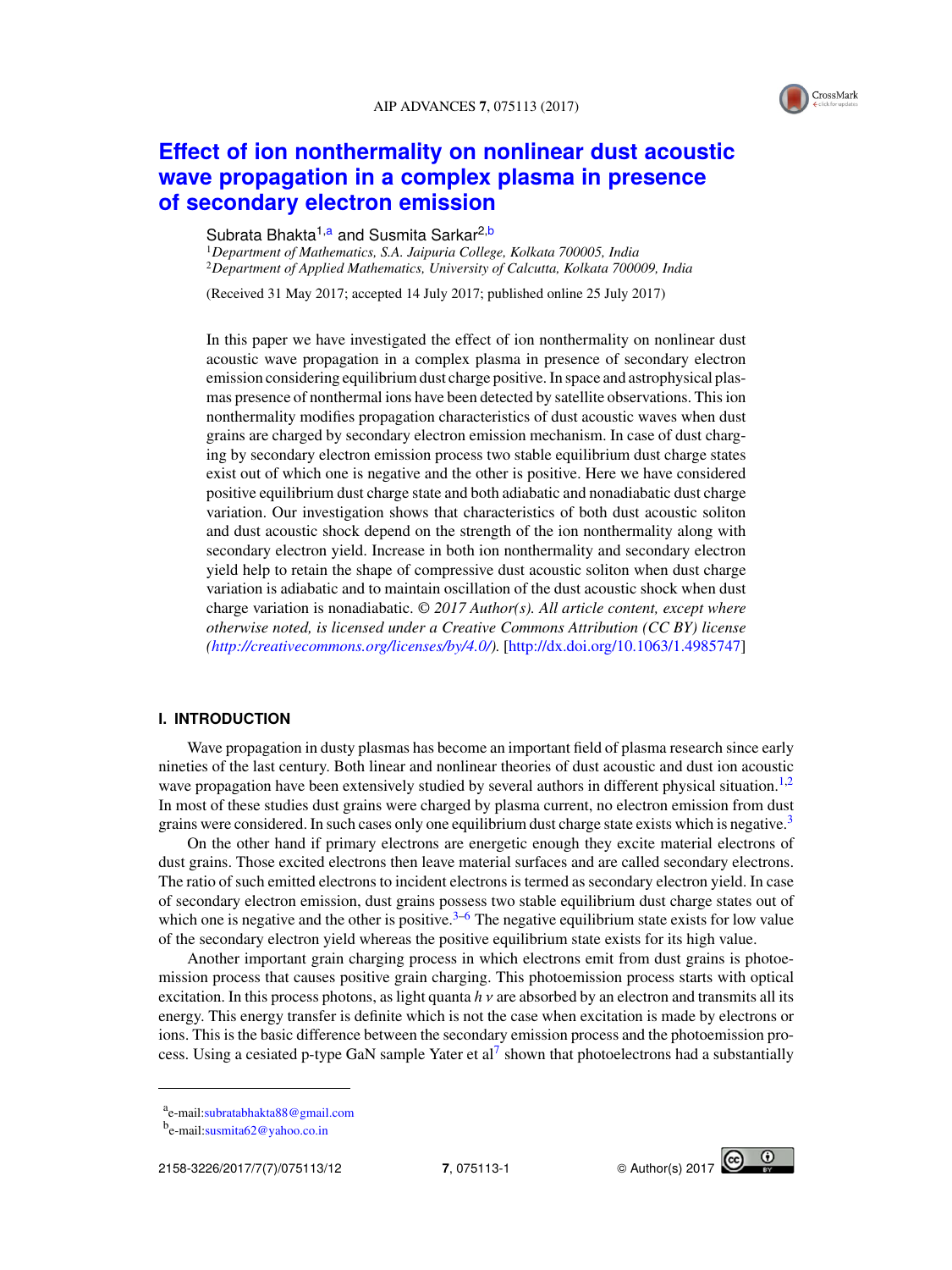

# **[Effect of ion nonthermality on nonlinear dust acoustic](http://dx.doi.org/10.1063/1.4985747) [wave propagation in a complex plasma in presence](http://dx.doi.org/10.1063/1.4985747) [of secondary electron emission](http://dx.doi.org/10.1063/1.4985747)**

#### Subrata Bhakta<sup>1,a</sup> and Susmita Sarkar<sup>2,b</sup>

<sup>1</sup>*Department of Mathematics, S.A. Jaipuria College, Kolkata 700005, India* <sup>2</sup>*Department of Applied Mathematics, University of Calcutta, Kolkata 700009, India*

(Received 31 May 2017; accepted 14 July 2017; published online 25 July 2017)

In this paper we have investigated the effect of ion nonthermality on nonlinear dust acoustic wave propagation in a complex plasma in presence of secondary electron emission considering equilibrium dust charge positive. In space and astrophysical plasmas presence of nonthermal ions have been detected by satellite observations. This ion nonthermality modifies propagation characteristics of dust acoustic waves when dust grains are charged by secondary electron emission mechanism. In case of dust charging by secondary electron emission process two stable equilibrium dust charge states exist out of which one is negative and the other is positive. Here we have considered positive equilibrium dust charge state and both adiabatic and nonadiabatic dust charge variation. Our investigation shows that characteristics of both dust acoustic soliton and dust acoustic shock depend on the strength of the ion nonthermality along with secondary electron yield. Increase in both ion nonthermality and secondary electron yield help to retain the shape of compressive dust acoustic soliton when dust charge variation is adiabatic and to maintain oscillation of the dust acoustic shock when dust charge variation is nonadiabatic. © *2017 Author(s). All article content, except where otherwise noted, is licensed under a Creative Commons Attribution (CC BY) license [\(http://creativecommons.org/licenses/by/4.0/\)](http://creativecommons.org/licenses/by/4.0/).* [\[http://dx.doi.org/10.1063/1.4985747\]](http://dx.doi.org/10.1063/1.4985747)

#### **I. INTRODUCTION**

Wave propagation in dusty plasmas has become an important field of plasma research since early nineties of the last century. Both linear and nonlinear theories of dust acoustic and dust ion acoustic wave propagation have been extensively studied by several authors in different physical situation.<sup>[1](#page-11-0)[,2](#page-11-1)</sup> In most of these studies dust grains were charged by plasma current, no electron emission from dust grains were considered. In such cases only one equilibrium dust charge state exists which is negative.<sup>[3](#page-11-2)</sup>

On the other hand if primary electrons are energetic enough they excite material electrons of dust grains. Those excited electrons then leave material surfaces and are called secondary electrons. The ratio of such emitted electrons to incident electrons is termed as secondary electron yield. In case of secondary electron emission, dust grains possess two stable equilibrium dust charge states out of which one is negative and the other is positive.<sup>[3](#page-11-2)[–6](#page-11-3)</sup> The negative equilibrium state exists for low value of the secondary electron yield whereas the positive equilibrium state exists for its high value.

Another important grain charging process in which electrons emit from dust grains is photoemission process that causes positive grain charging. This photoemission process starts with optical excitation. In this process photons, as light quanta  $h v$  are absorbed by an electron and transmits all its energy. This energy transfer is definite which is not the case when excitation is made by electrons or ions. This is the basic difference between the secondary emission process and the photoemission pro-cess. Using a cesiated p-type GaN sample Yater et al<sup>[7](#page-11-4)</sup> shown that photoelectrons had a substantially



a<br>e-mail[:subratabhakta88@gmail.com](mailto:subratabhakta88@gmail.com)

b<sub>e-mail[:susmita62@yahoo.co.in](mailto:susmita62@yahoo.co.in)</sub>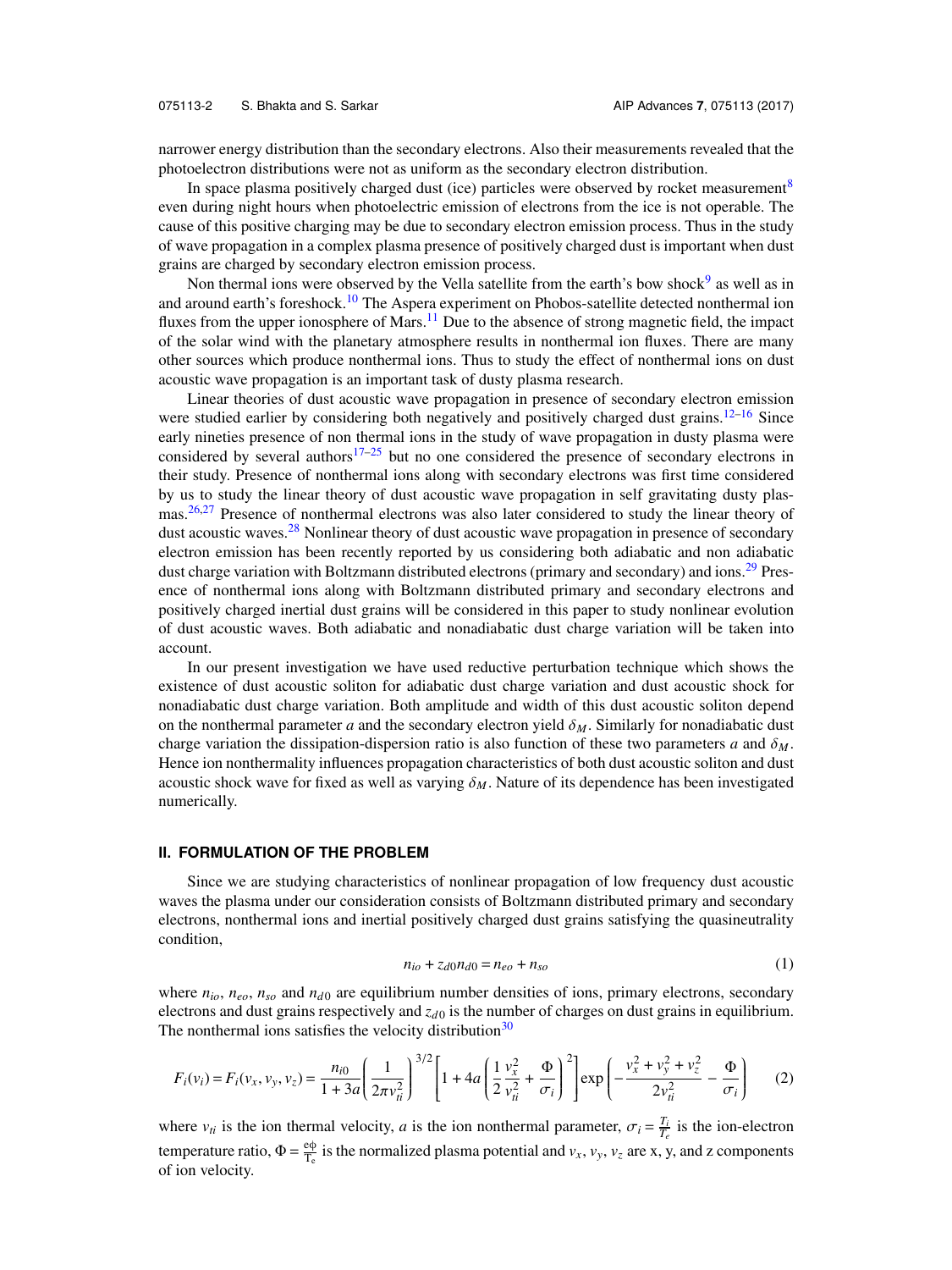narrower energy distribution than the secondary electrons. Also their measurements revealed that the photoelectron distributions were not as uniform as the secondary electron distribution.

In space plasma positively charged dust (ice) particles were observed by rocket measurement<sup>[8](#page-11-5)</sup> even during night hours when photoelectric emission of electrons from the ice is not operable. The cause of this positive charging may be due to secondary electron emission process. Thus in the study of wave propagation in a complex plasma presence of positively charged dust is important when dust grains are charged by secondary electron emission process.

Non thermal ions were observed by the Vella satellite from the earth's bow shock<sup>[9](#page-11-6)</sup> as well as in and around earth's foreshock.<sup>[10](#page-11-7)</sup> The Aspera experiment on Phobos-satellite detected nonthermal ion fluxes from the upper ionosphere of Mars.<sup>[11](#page-11-8)</sup> Due to the absence of strong magnetic field, the impact of the solar wind with the planetary atmosphere results in nonthermal ion fluxes. There are many other sources which produce nonthermal ions. Thus to study the effect of nonthermal ions on dust acoustic wave propagation is an important task of dusty plasma research.

Linear theories of dust acoustic wave propagation in presence of secondary electron emission were studied earlier by considering both negatively and positively charged dust grains.<sup>[12–](#page-11-9)[16](#page-11-10)</sup> Since early nineties presence of non thermal ions in the study of wave propagation in dusty plasma were considered by several authors<sup>[17–](#page-11-11)[25](#page-12-0)</sup> but no one considered the presence of secondary electrons in their study. Presence of nonthermal ions along with secondary electrons was first time considered by us to study the linear theory of dust acoustic wave propagation in self gravitating dusty plas-mas.<sup>[26,](#page-12-1)[27](#page-12-2)</sup> Presence of nonthermal electrons was also later considered to study the linear theory of dust acoustic waves.<sup>[28](#page-12-3)</sup> Nonlinear theory of dust acoustic wave propagation in presence of secondary electron emission has been recently reported by us considering both adiabatic and non adiabatic dust charge variation with Boltzmann distributed electrons (primary and secondary) and ions.<sup>[29](#page-12-4)</sup> Presence of nonthermal ions along with Boltzmann distributed primary and secondary electrons and positively charged inertial dust grains will be considered in this paper to study nonlinear evolution of dust acoustic waves. Both adiabatic and nonadiabatic dust charge variation will be taken into account.

In our present investigation we have used reductive perturbation technique which shows the existence of dust acoustic soliton for adiabatic dust charge variation and dust acoustic shock for nonadiabatic dust charge variation. Both amplitude and width of this dust acoustic soliton depend on the nonthermal parameter *a* and the secondary electron yield  $\delta_M$ . Similarly for nonadiabatic dust charge variation the dissipation-dispersion ratio is also function of these two parameters *a* and  $\delta_M$ . Hence ion nonthermality influences propagation characteristics of both dust acoustic soliton and dust acoustic shock wave for fixed as well as varying  $\delta_M$ . Nature of its dependence has been investigated numerically.

#### **II. FORMULATION OF THE PROBLEM**

<span id="page-2-1"></span>Since we are studying characteristics of nonlinear propagation of low frequency dust acoustic waves the plasma under our consideration consists of Boltzmann distributed primary and secondary electrons, nonthermal ions and inertial positively charged dust grains satisfying the quasineutrality condition,

<span id="page-2-0"></span>
$$
n_{io} + z_{d0}n_{d0} = n_{eo} + n_{so}
$$
 (1)

where  $n_{io}$ ,  $n_{eo}$ ,  $n_{so}$  and  $n_{d0}$  are equilibrium number densities of ions, primary electrons, secondary electrons and dust grains respectively and  $z_{d0}$  is the number of charges on dust grains in equilibrium. The nonthermal ions satisfies the velocity distribution<sup>[30](#page-12-5)</sup>

$$
F_i(v_i) = F_i(v_x, v_y, v_z) = \frac{n_{i0}}{1 + 3a} \left(\frac{1}{2\pi v_{ii}^2}\right)^{3/2} \left[1 + 4a \left(\frac{1}{2}\frac{v_x^2}{v_{ii}^2} + \frac{\Phi}{\sigma_i}\right)^2\right] \exp\left(-\frac{v_x^2 + v_y^2 + v_z^2}{2v_{ii}^2} - \frac{\Phi}{\sigma_i}\right) \tag{2}
$$

where  $v_{ti}$  is the ion thermal velocity, *a* is the ion nonthermal parameter,  $\sigma_i = \frac{T_i}{T_e}$  is the ion-electron temperature ratio,  $\Phi = \frac{e\phi}{T_a}$  $\frac{\partial \varphi}{\partial r}$  is the normalized plasma potential and  $v_x$ ,  $v_y$ ,  $v_z$  are x, y, and z components of ion velocity.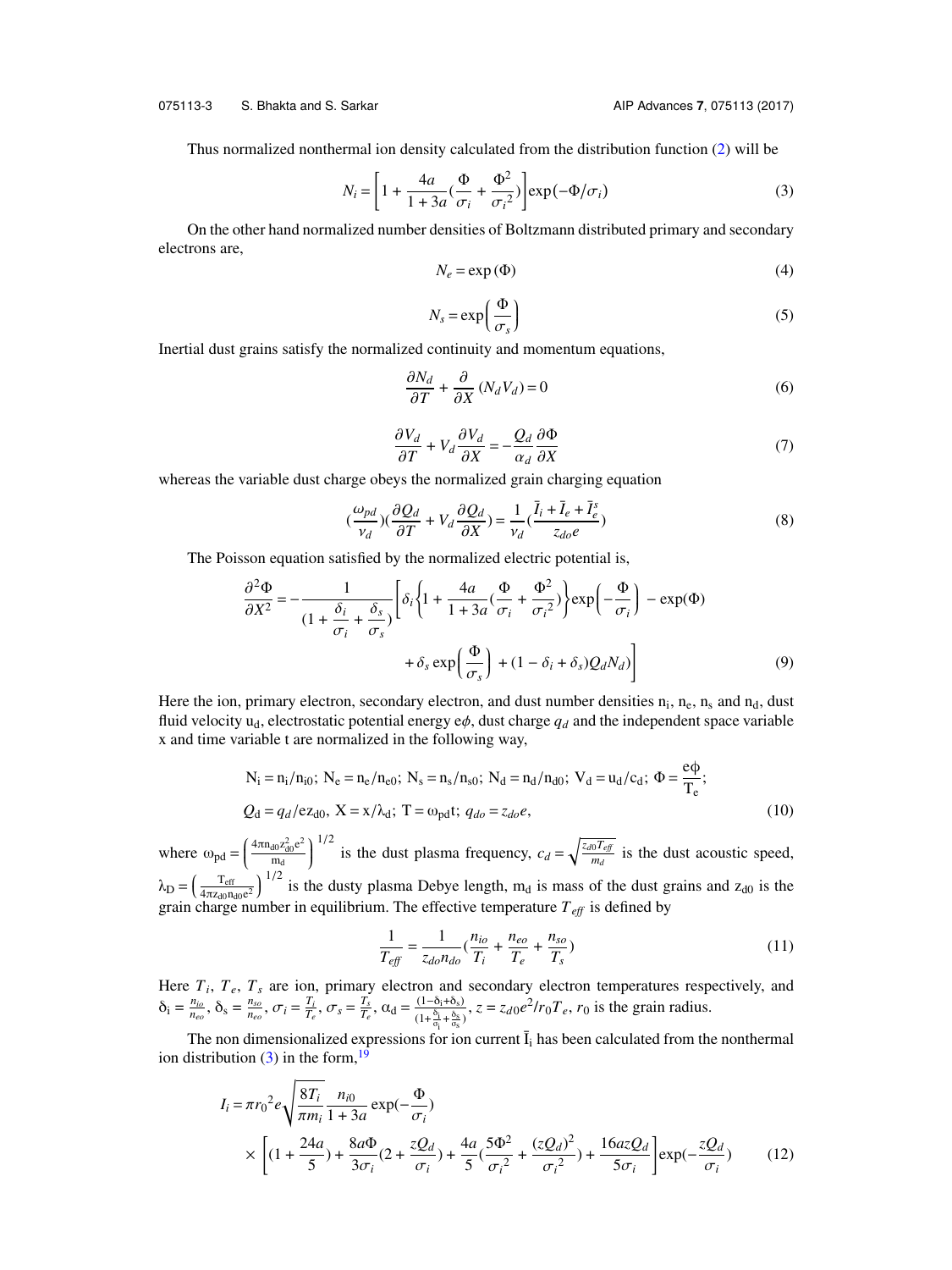Thus normalized nonthermal ion density calculated from the distribution function [\(2\)](#page-2-0) will be

$$
N_i = \left[1 + \frac{4a}{1 + 3a}(\frac{\Phi}{\sigma_i} + \frac{\Phi^2}{\sigma_i^2})\right] \exp(-\Phi/\sigma_i)
$$
 (3)

On the other hand normalized number densities of Boltzmann distributed primary and secondary electrons are,

<span id="page-3-0"></span>
$$
N_e = \exp(\Phi) \tag{4}
$$

$$
N_s = \exp\left(\frac{\Phi}{\sigma_s}\right) \tag{5}
$$

σ*s* Inertial dust grains satisfy the normalized continuity and momentum equations,

$$
\frac{\partial N_d}{\partial T} + \frac{\partial}{\partial X} (N_d V_d) = 0
$$
\n(6)

<span id="page-3-3"></span><span id="page-3-1"></span>
$$
\frac{\partial V_d}{\partial T} + V_d \frac{\partial V_d}{\partial X} = -\frac{Q_d}{\alpha_d} \frac{\partial \Phi}{\partial X}
$$
(7)

 $\frac{\partial T}{\partial X}$  **a**  $\frac{\partial X}{\partial X}$  **a**  $\frac{\partial X}{\partial X}$  **o**  $\frac{\partial X}{\partial X}$  **o** whereas the variable dust charge obeys the normalized grain charging equation

$$
\left(\frac{\omega_{pd}}{v_d}\right)\left(\frac{\partial Q_d}{\partial T} + V_d \frac{\partial Q_d}{\partial X}\right) = \frac{1}{v_d} \left(\frac{\bar{l}_i + \bar{l}_e + \bar{l}_e^s}{z_{do}e}\right) \tag{8}
$$

The Poisson equation satisfied by the normalized electric potential is,

$$
\frac{\partial^2 \Phi}{\partial X^2} = -\frac{1}{(1 + \frac{\delta_i}{\sigma_i} + \frac{\delta_s}{\sigma_s})} \left[ \delta_i \left\{ 1 + \frac{4a}{1 + 3a} (\frac{\Phi}{\sigma_i} + \frac{\Phi^2}{\sigma_i^2}) \right\} \exp\left( -\frac{\Phi}{\sigma_i} \right) - \exp(\Phi) + \delta_s \exp\left( \frac{\Phi}{\sigma_s} \right) + (1 - \delta_i + \delta_s) Q_d N_d) \right]
$$
(9)

Here the ion, primary electron, secondary electron, and dust number densities  $n_i$ ,  $n_e$ ,  $n_s$  and  $n_d$ , dust fluid velocity  $u_d$ , electrostatic potential energy  $e\phi$ , dust charge  $q_d$  and the independent space variable x and time variable t are normalized in the following way,

$$
N_{i} = n_{i}/n_{i0}; N_{e} = n_{e}/n_{e0}; N_{s} = n_{s}/n_{s0}; N_{d} = n_{d}/n_{d0}; V_{d} = u_{d}/c_{d}; \Phi = \frac{e\phi}{T_{e}};
$$
  

$$
Q_{d} = q_{d}/e z_{d0}, X = x/\lambda_{d}; T = \omega_{pd}t; q_{d0} = z_{d0}e,
$$
 (10)

where  $\omega_{\text{pd}} = \left($  $\frac{4\pi n_{d0}z_{d0}^2e^2}{2}$  $\frac{d0 \, z_{\text{d}0}^2 \text{e}^2}{m_{\text{d}}} \bigg)$ <sup>1/2</sup> is the dust plasma frequency,  $c_d = \sqrt{\frac{z_d \sigma T_{ef}}{m_d}}$ *md* is the dust acoustic speed,  $\lambda_{\rm D} = \left(\frac{T_{\rm eff}}{4\pi z_{\rm d0}n_{\rm d}}\right)$  $\frac{T_{\text{eff}}}{4\pi z_{d0}n_{d0}e^2}$   $\Big)^{1/2}$  is the dusty plasma Debye length, m<sub>d</sub> is mass of the dust grains and  $z_{d0}$  is the grain charge number in equilibrium. The effective temperature  $T_{\text{eff}}$  is defined by

<span id="page-3-2"></span>
$$
\frac{1}{T_{\text{eff}}} = \frac{1}{z_{do} n_{do}} (\frac{n_{io}}{T_i} + \frac{n_{eo}}{T_e} + \frac{n_{so}}{T_s})
$$
\n(11)

Here  $T_i$ ,  $T_e$ ,  $T_s$  are ion, primary electron and secondary electron temperatures respectively, and  $\delta_i = \frac{n_{io}}{n_{eo}}, \delta_s = \frac{n_{so}}{n_{eo}}, \sigma_i = \frac{T_i}{T_e}, \sigma_s = \frac{T_s}{T_e}, \alpha_d = \frac{(1-\delta_i+\delta_s)}{(1+\frac{\delta_i}{\sigma_i}+\frac{\delta_s}{\sigma_s})}$  $\frac{(1-\delta_i+\delta_s)}{(1+\frac{\delta_i}{\sigma_i}+\frac{\delta_s}{\sigma_s})}$ ,  $z=z_{d0}e^2/r_0T_e$ ,  $r_0$  is the grain radius.

The non dimensionalized expressions for ion current  $\bar{I}_i$  has been calculated from the nonthermal ion distribution  $(3)$  in the form,<sup>[19](#page-12-6)</sup>

$$
I_{i} = \pi r_{0}^{2} e \sqrt{\frac{8T_{i}}{\pi m_{i}}} \frac{n_{i0}}{1 + 3a} \exp(-\frac{\Phi}{\sigma_{i}})
$$
  
 
$$
\times \left[ (1 + \frac{24a}{5}) + \frac{8a\Phi}{3\sigma_{i}} (2 + \frac{zQ_{d}}{\sigma_{i}}) + \frac{4a}{5} (\frac{5\Phi^{2}}{\sigma_{i}^{2}} + \frac{(zQ_{d})^{2}}{\sigma_{i}^{2}}) + \frac{16a zQ_{d}}{5\sigma_{i}} \right] \exp(-\frac{zQ_{d}}{\sigma_{i}})
$$
(12)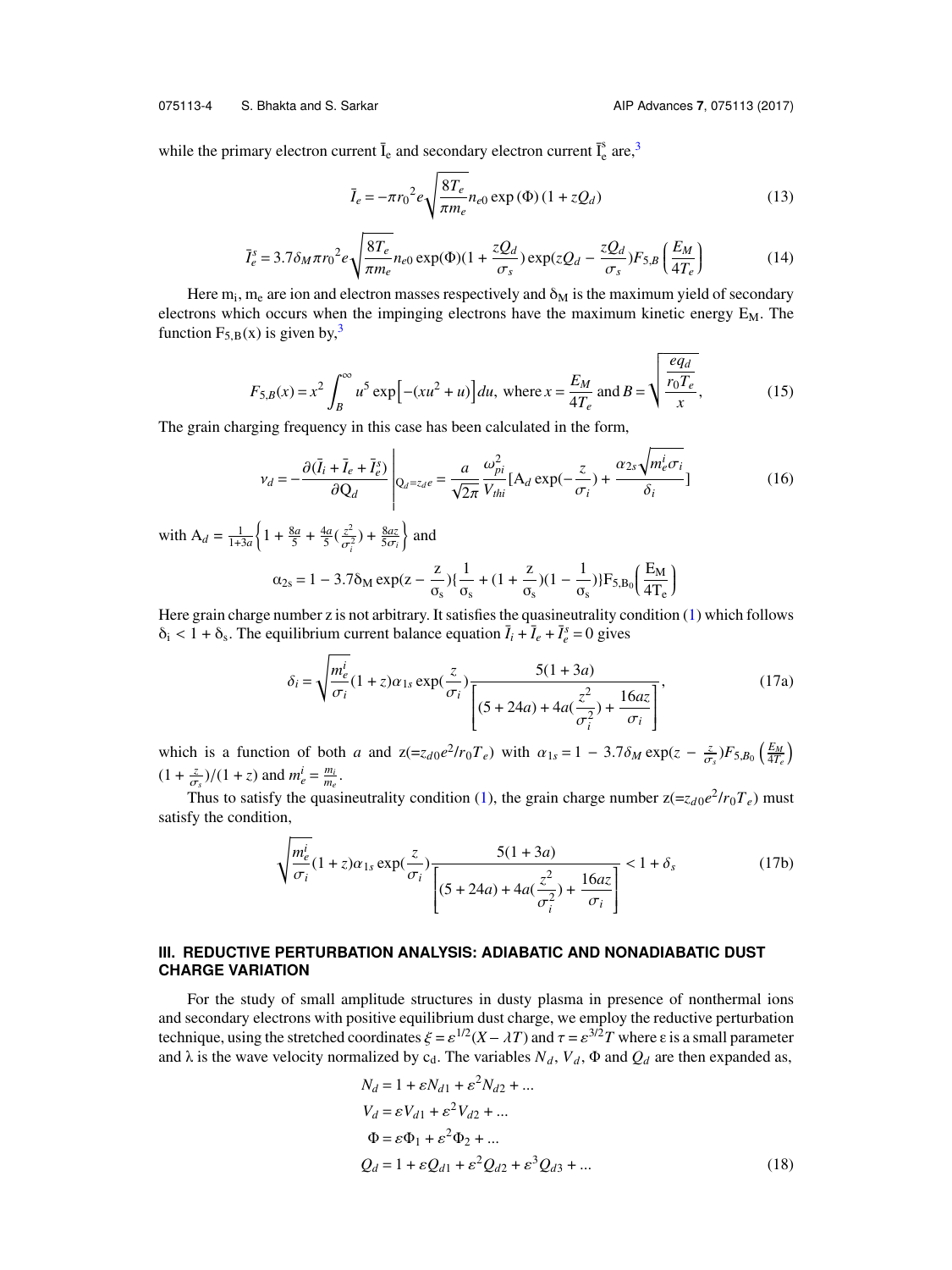075113-4 S. Bhakta and S. Sarkar AIP Advances **7**, 075113 (2017)

<span id="page-4-1"></span>while the primary electron current  $\overline{I}_e$  and secondary electron current  $\overline{I}_e^s$  are,<sup>[3](#page-11-2)</sup>

<span id="page-4-0"></span>
$$
\bar{I}_e = -\pi r_0^2 e \sqrt{\frac{8T_e}{\pi m_e}} n_{e0} \exp(\Phi) (1 + zQ_d)
$$
 (13)

$$
\bar{I}_e^s = 3.7 \delta_M \pi r_0^2 e \sqrt{\frac{8T_e}{\pi m_e}} n_{e0} \exp(\Phi)(1 + \frac{zQ_d}{\sigma_s}) \exp(zQ_d - \frac{zQ_d}{\sigma_s}) F_{5,B} \left(\frac{E_M}{4T_e}\right)
$$
(14)

Here  $m_i$ ,  $m_e$  are ion and electron masses respectively and  $\delta_M$  is the maximum yield of secondary electrons which occurs when the impinging electrons have the maximum kinetic energy  $E_M$ . The function  $F_{5,B}(x)$  is given by,<sup>[3](#page-11-2)</sup> v

$$
F_{5,B}(x) = x^2 \int_B^{\infty} u^5 \exp[-(xu^2 + u)] du, \text{ where } x = \frac{E_M}{4T_e} \text{ and } B = \sqrt{\frac{eq_d}{r_0 T_e}}.
$$
 (15)

The grain charging frequency in this case has been calculated in the form,

$$
v_d = -\frac{\partial(\bar{I}_i + \bar{I}_e + \bar{I}_e^s)}{\partial Q_d} \left|_{Q_d = z_d e} = \frac{a}{\sqrt{2\pi}} \frac{\omega_{pi}^2}{V_{thi}} [A_d \exp(-\frac{z}{\sigma_i}) + \frac{\alpha_{2s} \sqrt{m_e^i \sigma_i}}{\delta_i}] \right]
$$
(16)

with  $A_d = \frac{1}{1+3a}$  $\left\{1 + \frac{8a}{5} + \frac{4a}{5}(\frac{z^2}{\sigma^2})\right\}$  $\frac{z^2}{\sigma_i^2}$ ) +  $\frac{8az}{5\sigma_i}$  $\}$  and

$$
\alpha_{2s}=1-3.7\delta_M\exp(z-\frac{z}{\sigma_s})\{\frac{1}{\sigma_s}+(1+\frac{z}{\sigma_s})(1-\frac{1}{\sigma_s})\}F_{5,B_0}\left(\frac{E_M}{4T_e}\right)
$$

Here grain charge number z is not arbitrary. It satisfies the quasineutrality condition [\(1\)](#page-2-1) which follows  $\delta_i < 1 + \delta_s$ . The equilibrium current balance equation  $\overline{I}_i + \overline{I}_e + \overline{I}_e^s = 0$  gives

$$
\delta_{i} = \sqrt{\frac{m_{e}^{i}}{\sigma_{i}}}(1+z)\alpha_{1s} \exp(\frac{z}{\sigma_{i}})\frac{5(1+3a)}{\left[(5+24a)+4a(\frac{z^{2}}{\sigma_{i}^{2}})+\frac{16az}{\sigma_{i}}\right]},
$$
\n(17a)

which is a function of both *a* and  $z(=z_{d0}e^{2}/r_{0}T_{e})$  with  $\alpha_{1s} = 1 - 3.7\delta_{M} \exp(z - \frac{z}{\sigma})$  $(\frac{z}{\sigma_s})F_{5,B_0}(\frac{E_M}{4T_e})$  $(1 + \frac{z}{\sigma_s})/(1 + z)$  and  $m_e^i = \frac{m_i}{m_e}$ .

Thus to satisfy the quasineutrality condition [\(1\)](#page-2-1), the grain charge number  $z = z_{d0}e^{2}/r_0T_e$ ) must satisfy the condition,

$$
\sqrt{\frac{m_e^i}{\sigma_i}}(1+z)\alpha_{1s}\exp(\frac{z}{\sigma_i})\frac{5(1+3a)}{\left[(5+24a)+4a(\frac{z^2}{\sigma_i^2})+\frac{16az}{\sigma_i}\right]}<1+\delta_s
$$
\n(17b)

#### **III. REDUCTIVE PERTURBATION ANALYSIS: ADIABATIC AND NONADIABATIC DUST CHARGE VARIATION**

For the study of small amplitude structures in dusty plasma in presence of nonthermal ions and secondary electrons with positive equilibrium dust charge, we employ the reductive perturbation **CHARGE VARIATION**<br>For the study of small amplitude structures in dusty plasma in presence of nonthermal ions<br>and secondary electrons with positive equilibrium dust charge, we employ the reductive perturbation<br>technique, and  $\lambda$  is the wave velocity normalized by c<sub>d</sub>. The variables  $N_d$ ,  $V_d$ ,  $\Phi$  and  $Q_d$  are then expanded as,

<span id="page-4-3"></span><span id="page-4-2"></span>
$$
N_d = 1 + \varepsilon N_{d1} + \varepsilon^2 N_{d2} + ...
$$
  
\n
$$
V_d = \varepsilon V_{d1} + \varepsilon^2 V_{d2} + ...
$$
  
\n
$$
\Phi = \varepsilon \Phi_1 + \varepsilon^2 \Phi_2 + ...
$$
  
\n
$$
Q_d = 1 + \varepsilon Q_{d1} + \varepsilon^2 Q_{d2} + \varepsilon^3 Q_{d3} + ...
$$
\n(18)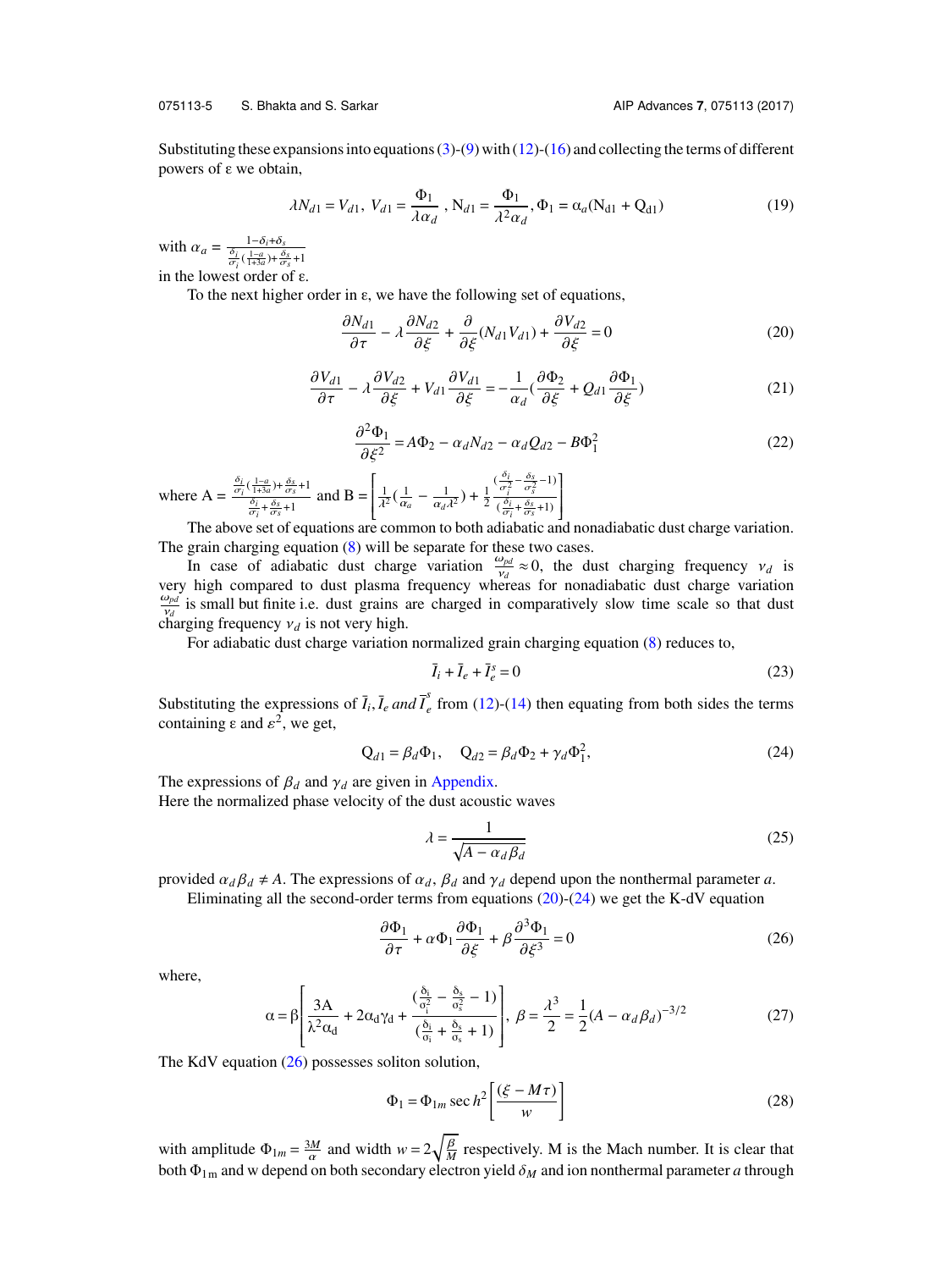#### 075113-5 S. Bhakta and S. Sarkar AIP Advances **7**, 075113 (2017)

Substituting these expansions into equations  $(3)-(9)$  $(3)-(9)$  $(3)-(9)$  with  $(12)-(16)$  $(12)-(16)$  $(12)-(16)$  and collecting the terms of different powers of ε we obtain,

$$
\lambda N_{d1} = V_{d1}, \ V_{d1} = \frac{\Phi_1}{\lambda \alpha_d}, \ N_{d1} = \frac{\Phi_1}{\lambda^2 \alpha_d}, \Phi_1 = \alpha_a (N_{d1} + Q_{d1})
$$
(19)

with  $\alpha_a = \frac{1-\delta_i+\delta_s}{\frac{\delta_i}{\sigma_i}(\frac{1-a}{1+3a})+\frac{\delta_s}{\sigma_s}+1}$ in the lowest order of  $\varepsilon$ .

<span id="page-5-3"></span>To the next higher order in ε, we have the following set of equations,

<span id="page-5-0"></span>
$$
\frac{\partial N_{d1}}{\partial \tau} - \lambda \frac{\partial N_{d2}}{\partial \xi} + \frac{\partial}{\partial \xi} (N_{d1} V_{d1}) + \frac{\partial V_{d2}}{\partial \xi} = 0
$$
\n(20)

$$
\frac{\partial V_{d1}}{\partial \tau} - \lambda \frac{\partial V_{d2}}{\partial \xi} + V_{d1} \frac{\partial V_{d1}}{\partial \xi} = -\frac{1}{\alpha_d} (\frac{\partial \Phi_2}{\partial \xi} + Q_{d1} \frac{\partial \Phi_1}{\partial \xi})
$$
(21)

$$
\frac{\partial^2 \Phi_1}{\partial \xi^2} = A\Phi_2 - \alpha_d N_{d2} - \alpha_d Q_{d2} - B\Phi_1^2
$$
\n(22)

<span id="page-5-4"></span>where  $A = \frac{\frac{\delta_i}{\sigma_i}(\frac{1-a}{1+3a}) + \frac{\delta_s}{\sigma_s} + 1}{\frac{\delta_i}{\sigma_s} + \frac{\delta_s}{\sigma_s}}$  $\frac{\delta_i}{\delta_i} + \frac{\delta_s}{\sigma_s} + 1}$  and B =  $\overline{\phantom{a}}$  $\frac{1}{\lambda^2}$   $\left(\frac{1}{\alpha}\right)$ α*a*  $-\frac{1}{\alpha_d\lambda^2}$ ) +  $\frac{1}{2}$  $\left(\frac{\sigma_i}{\sigma_i^2} - \frac{\delta_s}{\sigma_s^2} - 1\right)$  $\left(\frac{\partial_i}{\partial \tau_i} + \frac{\delta_s}{\sigma_s} + 1\right)$  $\begin{bmatrix} \phantom{-}\hspace{-2.5mm} \end{bmatrix}$ 

The above set of equations are common to both adiabatic and nonadiabatic dust charge variation. The grain charging equation  $(8)$  will be separate for these two cases.

In case of adiabatic dust charge variation  $\frac{\omega_{pd}}{\nu_A}$ In case of adiabatic dust charge variation  $\frac{\omega_{pd}}{v_d} \approx 0$ , the dust charging frequency  $v_d$  is very high compared to dust plasma frequency whereas for nonadiabatic dust charge variation  $\frac{\omega_{pd}}{v_d}$  is small but finite i.e. dust grains are charged in comparatively slow time scale so that dust  $v_d$ <br>
charging frequency  $v_d$  is not very high.<br>
For adjabatic dust charge variation

For adiabatic dust charge variation normalized grain charging equation [\(8\)](#page-3-3) reduces to,

$$
\bar{I}_i + \bar{I}_e + \bar{I}_e^s = 0\tag{23}
$$

Substituting the expressions of  $\overline{I}_i$ ,  $\overline{I}_e$  *and*  $\overline{I}_e^s$  $\frac{1}{e}$  from [\(12\)](#page-3-2)-[\(14\)](#page-4-1) then equating from both sides the terms containing  $\varepsilon$  and  $\varepsilon^2$ , we get,

<span id="page-5-1"></span>
$$
Q_{d1} = \beta_d \Phi_1, \quad Q_{d2} = \beta_d \Phi_2 + \gamma_d \Phi_1^2,
$$
 (24)

The expressions of  $\beta_d$  and  $\gamma_d$  are given in [Appendix.](#page-10-0)

Here the normalized phase velocity of the dust acoustic waves

<span id="page-5-2"></span>
$$
\lambda = \frac{1}{\sqrt{A - \alpha_d \beta_d}}
$$
 (25)

provided  $\alpha_d \beta_d \neq A$ . The expressions of  $\alpha_d$ ,  $\beta_d$  and  $\gamma_d$  depend upon the nonthermal parameter *a*.

Eliminating all the second-order terms from equations  $(20)-(24)$  $(20)-(24)$  $(20)-(24)$  we get the K-dV equation

$$
\frac{\partial \Phi_1}{\partial \tau} + \alpha \Phi_1 \frac{\partial \Phi_1}{\partial \xi} + \beta \frac{\partial^3 \Phi_1}{\partial \xi^3} = 0
$$
 (26)

<span id="page-5-5"></span>where,

$$
\alpha = \beta \left[ \frac{3A}{\lambda^2 \alpha_d} + 2\alpha_d \gamma_d + \frac{(\frac{\delta_i}{\sigma_i^2} - \frac{\delta_s}{\sigma_s^2} - 1)}{(\frac{\delta_i}{\sigma_i} + \frac{\delta_s}{\sigma_s} + 1)} \right], \ \beta = \frac{\lambda^3}{2} = \frac{1}{2} (A - \alpha_d \beta_d)^{-3/2}
$$
(27)

The KdV equation  $(26)$  possesses soliton solution,

<span id="page-5-6"></span>
$$
\Phi_1 = \Phi_{1m} \sec h^2 \left[ \frac{(\xi - M\tau)}{w} \right]
$$
\n(28)

with amplitude  $\Phi_{1m} = \frac{3M}{\alpha}$  and width  $w = 2\sqrt{\frac{\beta}{M}}$  respectively. M is the Mach number. It is clear that both  $\Phi_{1m}$  and w depend on both secondary electron yield  $\delta_M$  and ion nonthermal parameter *a* through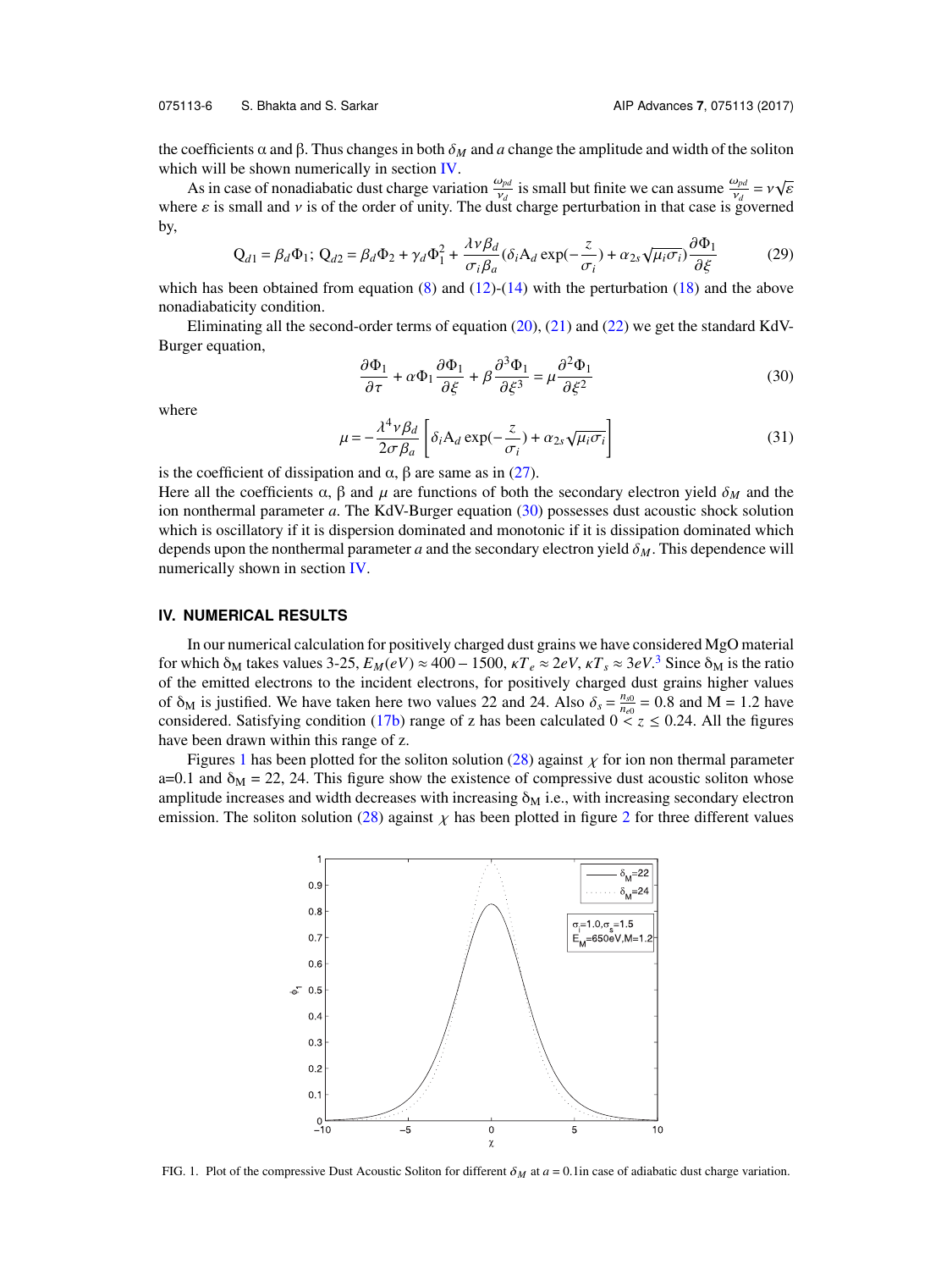075113-6 S. Bhakta and S. Sarkar AIP Advances **7**, 075113 (2017)

the coefficients  $\alpha$  and  $\beta$ . Thus changes in both  $\delta_M$  and *a* change the amplitude and width of the soliton which will be shown numerically in section  $IV$ .

As in case of nonadiabatic dust charge variation  $\frac{\omega_{pd}}{\nu_d}$  is small but finite we can assume  $\frac{\omega_{pd}}{\nu_d} = v \sqrt{\frac{\omega_{pd}}{\nu_d}}$ <br>Fe s is small and v is of the order of unity. The dust charge perturbation in that case is gove where  $\varepsilon$  is small and v is of the order of unity. The dust charge perturbation in that case is governed by,

$$
Q_{d1} = \beta_d \Phi_1; \ Q_{d2} = \beta_d \Phi_2 + \gamma_d \Phi_1^2 + \frac{\lambda v \beta_d}{\sigma_i \beta_a} (\delta_i A_d \exp(-\frac{z}{\sigma_i}) + \alpha_{2s} \sqrt{\mu_i \sigma_i}) \frac{\partial \Phi_1}{\partial \xi}
$$
 (29)  
which has been obtained from equation (8) and (12)-(14) with the perturbation (18) and the above

nonadiabaticity condition.

Eliminating all the second-order terms of equation [\(20\)](#page-5-0), [\(21\)](#page-5-3) and [\(22\)](#page-5-4) we get the standard KdV-Burger equation,

<span id="page-6-1"></span>
$$
\frac{\partial \Phi_1}{\partial \tau} + \alpha \Phi_1 \frac{\partial \Phi_1}{\partial \xi} + \beta \frac{\partial^3 \Phi_1}{\partial \xi^3} = \mu \frac{\partial^2 \Phi_1}{\partial \xi^2}
$$
(30)

where

$$
\mu = -\frac{\lambda^4 v \beta_d}{2\sigma \beta_a} \left[ \delta_i A_d \exp(-\frac{z}{\sigma_i}) + \alpha_{2s} \sqrt{\mu_i \sigma_i} \right]
$$
(31)

 $\int_0^{\infty} 2\sigma \beta_a \int_0^{\infty} \frac{2\sigma^2 \beta_a}{\sigma_i} \frac{\sigma_i}{\sigma_i}$ <br>is the coefficient of dissipation and α, β are same as in [\(27\)](#page-5-5).

Here all the coefficients  $\alpha$ ,  $\beta$  and  $\mu$  are functions of both the secondary electron yield  $\delta_M$  and the ion nonthermal parameter *a*. The KdV-Burger equation [\(30\)](#page-6-1) possesses dust acoustic shock solution which is oscillatory if it is dispersion dominated and monotonic if it is dissipation dominated which depends upon the nonthermal parameter *<sup>a</sup>* and the secondary electron yield δ*M*. This dependence will numerically shown in section [IV.](#page-6-0)

#### <span id="page-6-0"></span>**IV. NUMERICAL RESULTS**

In our numerical calculation for positively charged dust grains we have considered MgO material **IV. NUMERICAL RESULTS**<br>In our numerical calculation for positively charged dust grains we have considered MgO material<br>for which  $\delta_M$  takes values [3](#page-11-2)-25,  $E_M(eV) \approx 400 - 1500$ ,  $kT_e \approx 2eV$ ,  $kT_s \approx 3eV$ .<sup>3</sup> Since  $\delta_M$  is t of the emitted electrons to the incident electrons, for positively charged dust grains higher values of  $\delta_M$  is justified. We have taken here two values 22 and 24. Also  $\delta_s = \frac{n_{s0}}{n_{e0}}$ <br>considered. Satisfying condition (17b) range of z has been calculated 0.  $\frac{n_{s0}}{n_{e0}}$  = 0.8 and M = 1.2 have considered. Satisfying condition [\(17b\)](#page-4-3) range of z has been calculated  $0 \le z \le 0.24$ . All the figures have been drawn within this range of z.

<span id="page-6-2"></span>Figures [1](#page-6-2) has been plotted for the soliton solution [\(28\)](#page-5-6) against  $\chi$  for ion non thermal parameter a=0.1 and  $\delta_{\rm M}$  = 22, 24. This figure show the existence of compressive dust acoustic soliton whose amplitude increases and width decreases with increasing  $\delta_M$  i.e., with increasing secondary electron emission. The soliton solution [\(28\)](#page-5-6) against  $\chi$  has been plotted in figure [2](#page-7-0) for three different values



FIG. 1. Plot of the compressive Dust Acoustic Soliton for different  $\delta_M$  at  $a = 0.1$ in case of adiabatic dust charge variation.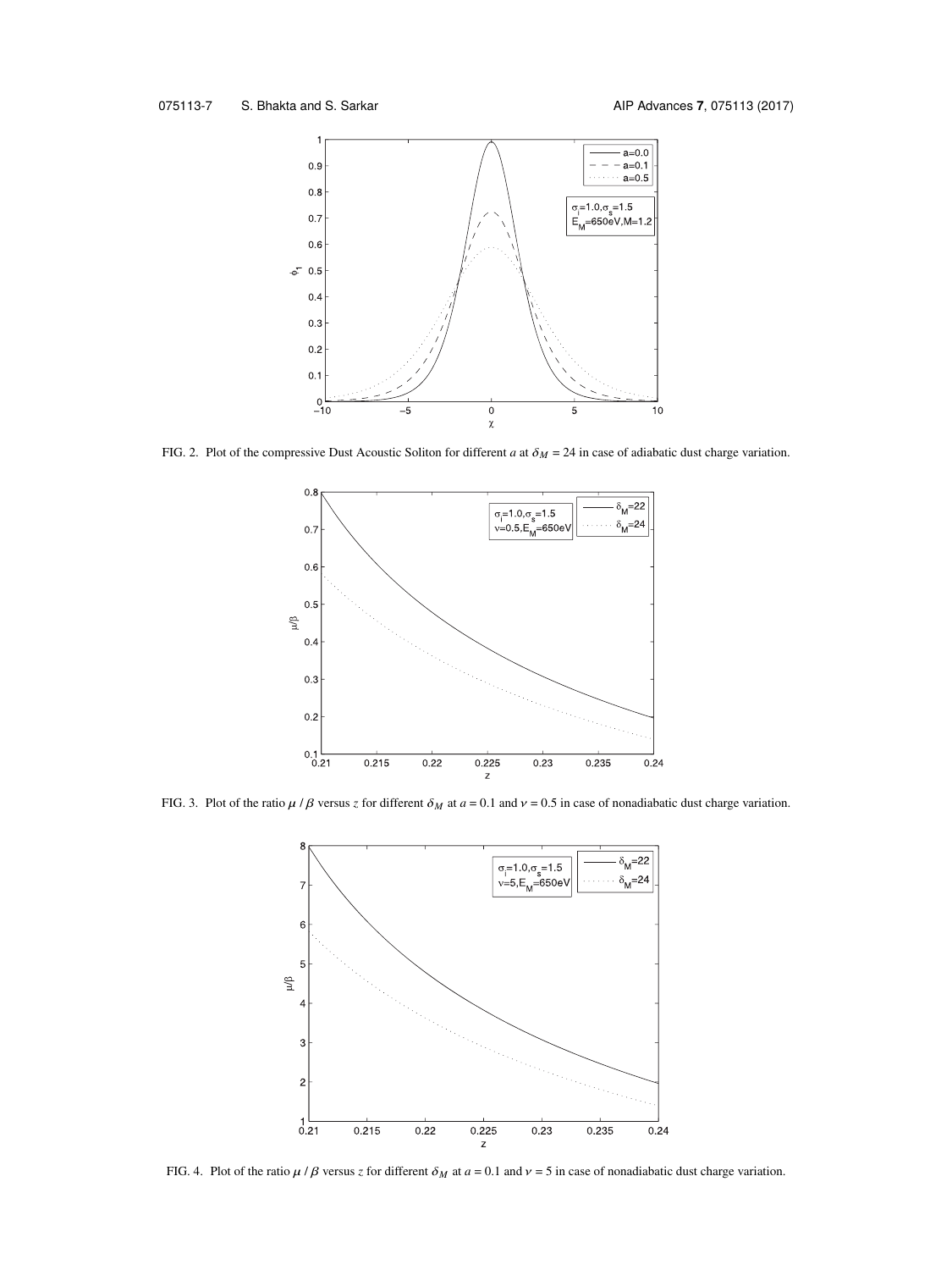<span id="page-7-0"></span>

<span id="page-7-1"></span>FIG. 2. Plot of the compressive Dust Acoustic Soliton for different *<sup>a</sup>* at <sup>δ</sup>*<sup>M</sup>* = 24 in case of adiabatic dust charge variation.



<span id="page-7-2"></span>FIG. 3. Plot of the ratio  $\mu / \beta$  versus *z* for different  $\delta_M$  at  $a = 0.1$  and  $\nu = 0.5$  in case of nonadiabatic dust charge variation.



FIG. 4. Plot of the ratio  $\mu / \beta$  versus *z* for different  $\delta_M$  at  $a = 0.1$  and  $\nu = 5$  in case of nonadiabatic dust charge variation.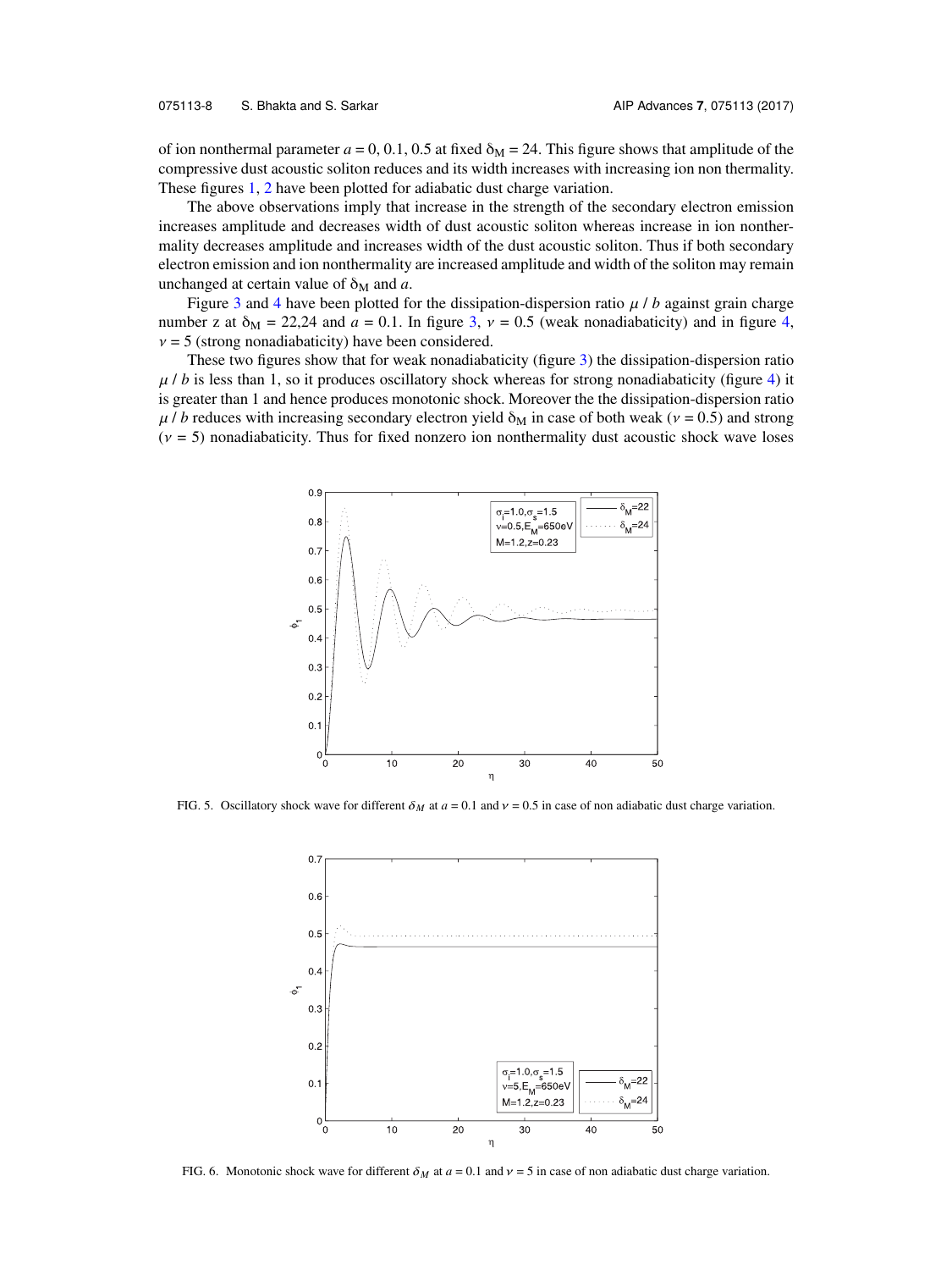of ion nonthermal parameter  $a = 0, 0.1, 0.5$  at fixed  $\delta_M = 24$ . This figure shows that amplitude of the compressive dust acoustic soliton reduces and its width increases with increasing ion non thermality. These figures [1,](#page-6-2) [2](#page-7-0) have been plotted for adiabatic dust charge variation.

The above observations imply that increase in the strength of the secondary electron emission increases amplitude and decreases width of dust acoustic soliton whereas increase in ion nonthermality decreases amplitude and increases width of the dust acoustic soliton. Thus if both secondary electron emission and ion nonthermality are increased amplitude and width of the soliton may remain unchanged at certain value of  $\delta_M$  and *a*.

Figure [3](#page-7-1) and [4](#page-7-2) have been plotted for the dissipation-dispersion ratio  $\mu / b$  against grain charge number z at  $\delta_M = 22.24$  and  $a = 0.1$ . In figure [3,](#page-7-1)  $v = 0.5$  (weak nonadiabaticity) and in figure [4,](#page-7-2)  $v = 5$  (strong nonadiabaticity) have been considered.

These two figures show that for weak nonadiabaticity (figure [3\)](#page-7-1) the dissipation-dispersion ratio  $\mu$  / *b* is less than 1, so it produces oscillatory shock whereas for strong nonadiabaticity (figure [4\)](#page-7-2) it is greater than 1 and hence produces monotonic shock. Moreover the the dissipation-dispersion ratio  $\mu$  / *b* reduces with increasing secondary electron yield  $\delta_M$  in case of both weak ( $\nu$  = 0.5) and strong  $(v = 5)$  nonadiabaticity. Thus for fixed nonzero ion nonthermality dust acoustic shock wave loses

<span id="page-8-0"></span>

<span id="page-8-1"></span>FIG. 5. Oscillatory shock wave for different  $\delta_M$  at  $a = 0.1$  and  $v = 0.5$  in case of non adiabatic dust charge variation.



FIG. 6. Monotonic shock wave for different  $\delta_M$  at  $a = 0.1$  and  $v = 5$  in case of non adiabatic dust charge variation.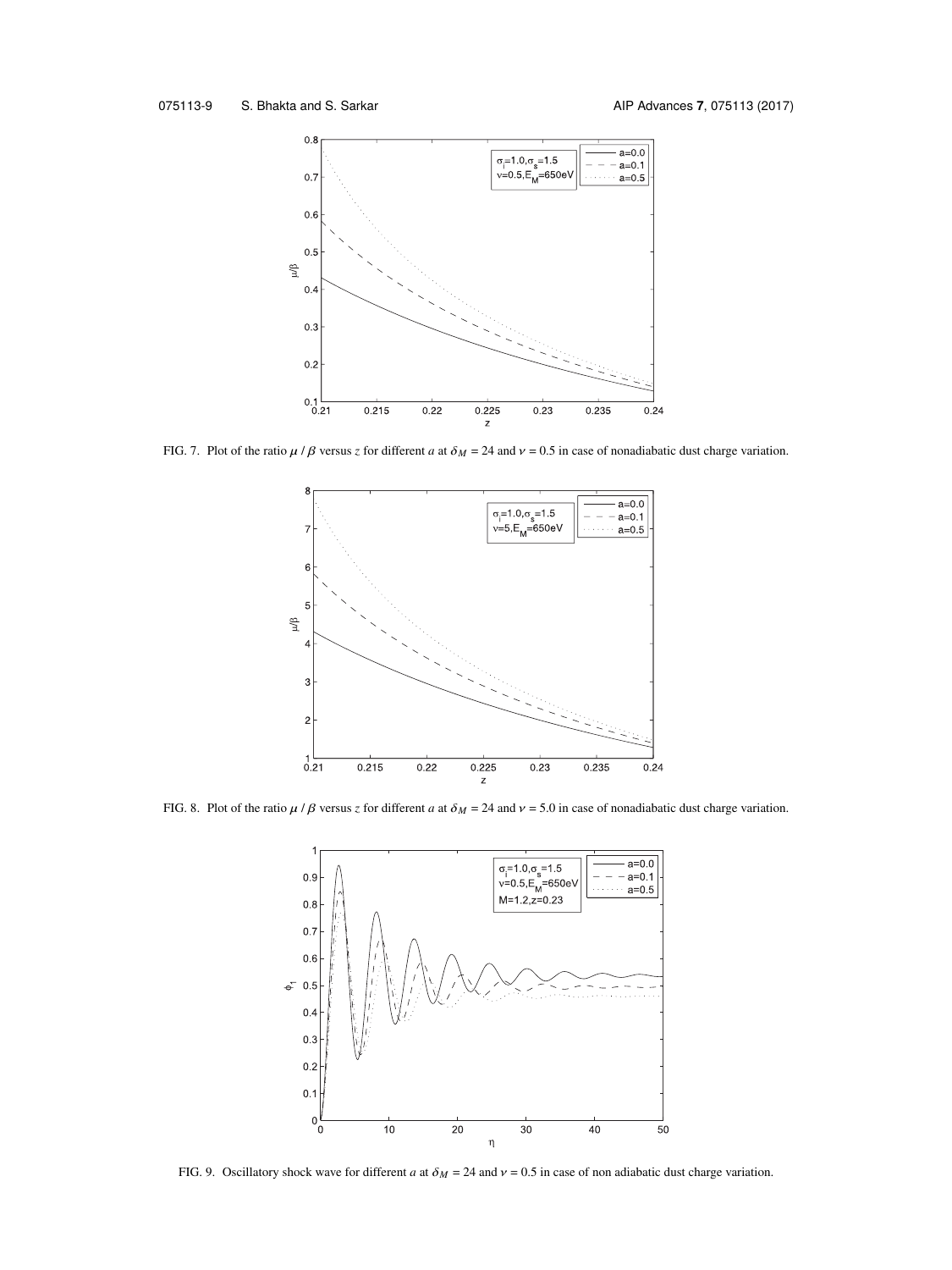<span id="page-9-0"></span>

<span id="page-9-1"></span>FIG. 7. Plot of the ratio  $\mu$  /  $\beta$  versus *z* for different *a* at  $\delta_M = 24$  and  $\nu = 0.5$  in case of nonadiabatic dust charge variation.



<span id="page-9-2"></span>FIG. 8. Plot of the ratio  $\mu$  /  $\beta$  versus *z* for different *a* at  $\delta_M = 24$  and  $\nu = 5.0$  in case of nonadiabatic dust charge variation.



FIG. 9. Oscillatory shock wave for different *a* at  $\delta_M = 24$  and  $v = 0.5$  in case of non adiabatic dust charge variation.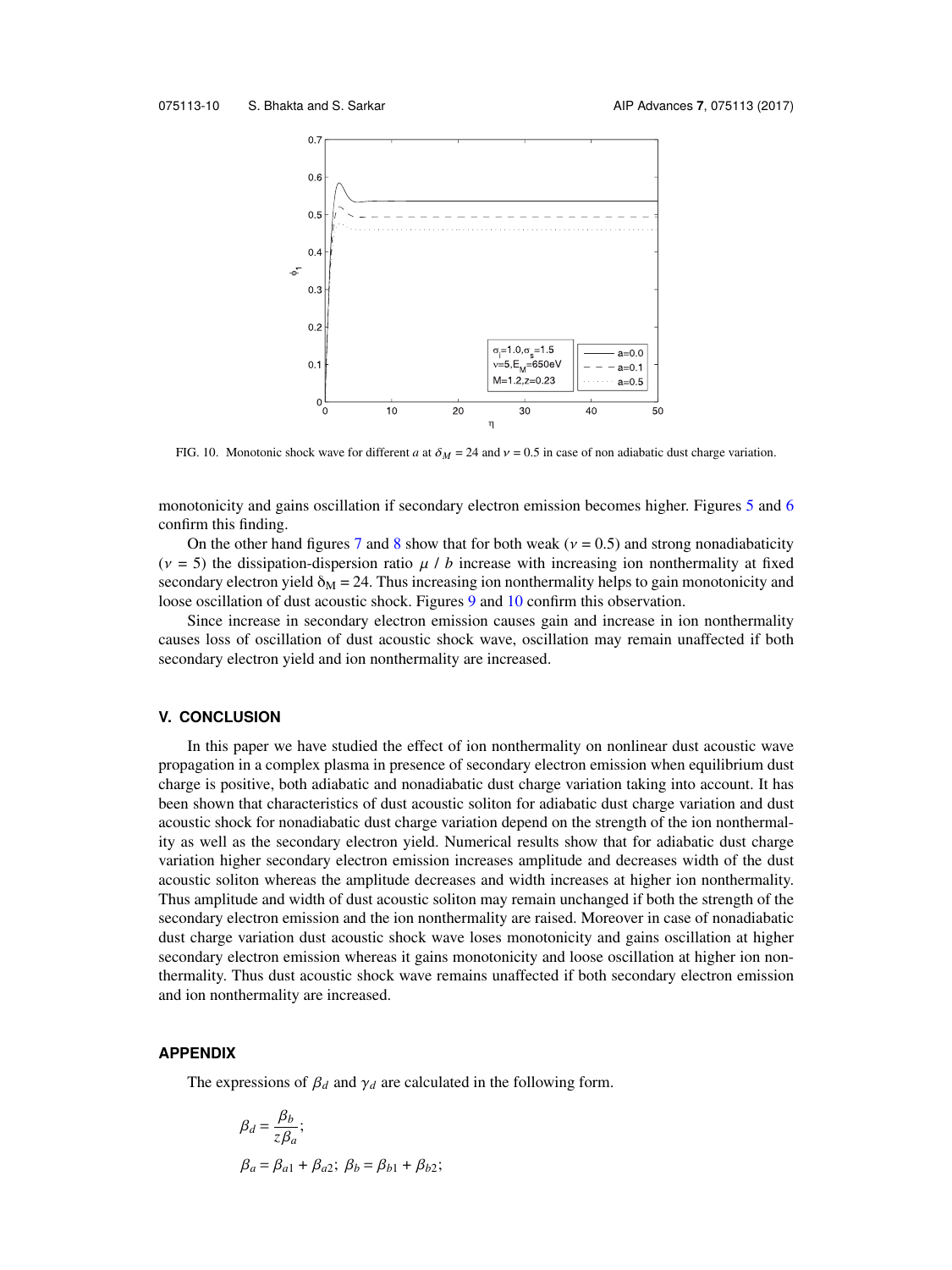<span id="page-10-1"></span>

FIG. 10. Monotonic shock wave for different *a* at  $\delta_M = 24$  and  $v = 0.5$  in case of non adiabatic dust charge variation.

monotonicity and gains oscillation if secondary electron emission becomes higher. Figures [5](#page-8-0) and [6](#page-8-1) confirm this finding.

On the other hand figures [7](#page-9-0) and [8](#page-9-1) show that for both weak ( $v = 0.5$ ) and strong nonadiabaticity ( $v = 5$ ) the dissipation-dispersion ratio  $\mu / b$  increase with increasing ion nonthermality at fixed secondary electron yield  $\delta_M = 24$ . Thus increasing ion nonthermality helps to gain monotonicity and loose oscillation of dust acoustic shock. Figures [9](#page-9-2) and [10](#page-10-1) confirm this observation.

Since increase in secondary electron emission causes gain and increase in ion nonthermality causes loss of oscillation of dust acoustic shock wave, oscillation may remain unaffected if both secondary electron yield and ion nonthermality are increased.

#### **V. CONCLUSION**

In this paper we have studied the effect of ion nonthermality on nonlinear dust acoustic wave propagation in a complex plasma in presence of secondary electron emission when equilibrium dust charge is positive, both adiabatic and nonadiabatic dust charge variation taking into account. It has been shown that characteristics of dust acoustic soliton for adiabatic dust charge variation and dust acoustic shock for nonadiabatic dust charge variation depend on the strength of the ion nonthermality as well as the secondary electron yield. Numerical results show that for adiabatic dust charge variation higher secondary electron emission increases amplitude and decreases width of the dust acoustic soliton whereas the amplitude decreases and width increases at higher ion nonthermality. Thus amplitude and width of dust acoustic soliton may remain unchanged if both the strength of the secondary electron emission and the ion nonthermality are raised. Moreover in case of nonadiabatic dust charge variation dust acoustic shock wave loses monotonicity and gains oscillation at higher secondary electron emission whereas it gains monotonicity and loose oscillation at higher ion nonthermality. Thus dust acoustic shock wave remains unaffected if both secondary electron emission and ion nonthermality are increased.

#### <span id="page-10-0"></span>**APPENDIX**

The expressions of  $\beta_d$  and  $\gamma_d$  are calculated in the following form.

$$
\beta_d = \frac{\beta_b}{z\beta_a};
$$
  
\n
$$
\beta_a = \beta_{a1} + \beta_{a2}; \ \beta_b = \beta_{b1} + \beta_{b2};
$$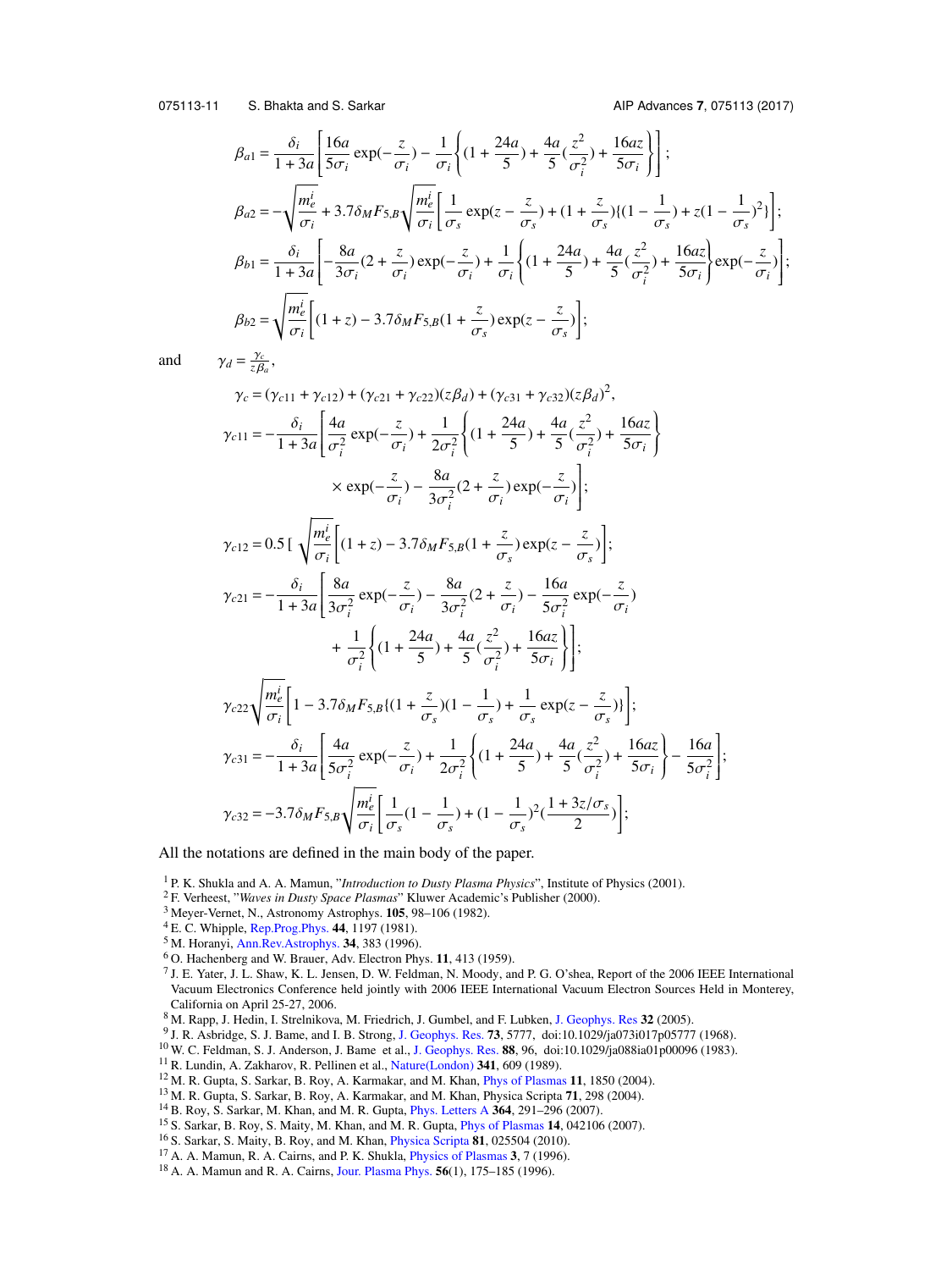075113-11 S. Bhakta and S. Sarkar AIP Advances **7**, 075113 (2017)

 $\overline{1}$ 1  $\overline{\phantom{a}}$  $\overline{\phantom{a}}$  $\overline{\phantom{a}}$ J ;

$$
\beta_{a1} = \frac{\delta_i}{1 + 3a} \left[ \frac{16a}{5\sigma_i} \exp(-\frac{z}{\sigma_i}) - \frac{1}{\sigma_i} \left\{ (1 + \frac{24a}{5}) + \frac{4a}{5} (\frac{z^2}{\sigma_i^2}) + \frac{16az}{5\sigma_i} \right\} \right];
$$
\n
$$
\beta_{a2} = -\sqrt{\frac{m_e^i}{\sigma_i}} + 3.7\delta_M F_{5,B} \sqrt{\frac{m_e^i}{\sigma_i}} \left[ \frac{1}{\sigma_s} \exp(z - \frac{z}{\sigma_s}) + (1 + \frac{z}{\sigma_s}) \left\{ (1 - \frac{1}{\sigma_s}) + z(1 - \frac{1}{\sigma_s})^2 \right\} \right];
$$
\n
$$
\beta_{b1} = \frac{\delta_i}{1 + 3a} \left[ -\frac{8a}{3\sigma_i} (2 + \frac{z}{\sigma_i}) \exp(-\frac{z}{\sigma_i}) + \frac{1}{\sigma_i} \left\{ (1 + \frac{24a}{5}) + \frac{4a}{5} (\frac{z^2}{\sigma_i^2}) + \frac{16az}{5\sigma_i} \right\} \exp(-\frac{z}{\sigma_i}) \right];
$$
\n
$$
\beta_{b2} = \sqrt{\frac{m_e^i}{\sigma_i}} \left[ (1 + z) - 3.7\delta_M F_{5,B} (1 + \frac{z}{\sigma_s}) \exp(z - \frac{z}{\sigma_s}) \right];
$$

and  $\gamma_d = \frac{\gamma_c}{z\beta_a}$ ,

$$
\gamma_{c} = (\gamma_{c11} + \gamma_{c12}) + (\gamma_{c21} + \gamma_{c22})(z\beta_{d}) + (\gamma_{c31} + \gamma_{c32})(z\beta_{d})^{2},
$$
\n
$$
\gamma_{c11} = -\frac{\delta_{i}}{1 + 3a} \left[ \frac{4a}{\sigma_{i}^{2}} \exp(-\frac{z}{\sigma_{i}}) + \frac{1}{2\sigma_{i}^{2}} \left\{ (1 + \frac{24a}{5}) + \frac{4a}{5} (\frac{z^{2}}{\sigma_{i}^{2}}) + \frac{16az}{5\sigma_{i}} \right\}
$$
\n
$$
\times \exp(-\frac{z}{\sigma_{i}}) - \frac{8a}{3\sigma_{i}^{2}} (2 + \frac{z}{\sigma_{i}}) \exp(-\frac{z}{\sigma_{i}}) \right];
$$
\n
$$
\gamma_{c12} = 0.5 \left[ \sqrt{\frac{m_{e}^{i}}{\sigma_{i}}} \left[ (1 + z) - 3.7\delta_{M} F_{5,B} (1 + \frac{z}{\sigma_{s}}) \exp(z - \frac{z}{\sigma_{s}}) \right];
$$
\n
$$
\gamma_{c21} = -\frac{\delta_{i}}{1 + 3a} \left[ \frac{8a}{3\sigma_{i}^{2}} \exp(-\frac{z}{\sigma_{i}}) - \frac{8a}{3\sigma_{i}^{2}} (2 + \frac{z}{\sigma_{i}}) - \frac{16a}{5\sigma_{i}^{2}} \exp(-\frac{z}{\sigma_{i}}) \right]
$$
\n
$$
+ \frac{1}{\sigma_{i}^{2}} \left\{ (1 + \frac{24a}{5}) + \frac{4a}{5} (\frac{z^{2}}{\sigma_{i}^{2}}) + \frac{16az}{5\sigma_{i}} \right\} \right];
$$
\n
$$
\gamma_{c22} \sqrt{\frac{m_{e}^{i}}{\sigma_{i}}} \left[ 1 - 3.7\delta_{M} F_{5,B} \left\{ (1 + \frac{z}{\sigma_{s}}) (1 - \frac{1}{\sigma_{s}}) + \frac{1}{\sigma_{s}} \exp(z - \frac{z}{\sigma_{s}}) \right\} \right];
$$
\n
$$
\gamma_{c31} = -\frac{\delta_{i}}{1 + 3a} \left[ \frac{4a}{5\sigma_{i}^{2}} \exp(-\frac{z
$$

All the notations are defined in the main body of the paper.

<span id="page-11-0"></span><sup>1</sup> P. K. Shukla and A. A. Mamun, "*Introduction to Dusty Plasma Physics*", Institute of Physics (2001).

- <span id="page-11-1"></span><sup>2</sup> F. Verheest, "*Waves in Dusty Space Plasmas*" Kluwer Academic's Publisher (2000).
- <span id="page-11-2"></span><sup>3</sup> Meyer-Vernet, N., Astronomy Astrophys. **105**, 98–106 (1982).
- <sup>4</sup> E. C. Whipple, [Rep.Prog.Phys.](http://dx.doi.org/10.1088/0034-4885/44/11/002) **44**, 1197 (1981).
- <sup>5</sup> M. Horanyi, [Ann.Rev.Astrophys.](http://dx.doi.org/10.1146/annurev.astro.34.1.383) **34**, 383 (1996).
- <span id="page-11-3"></span><sup>6</sup> O. Hachenberg and W. Brauer, Adv. Electron Phys. **11**, 413 (1959).
- <span id="page-11-4"></span>7 J. E. Yater, J. L. Shaw, K. L. Jensen, D. W. Feldman, N. Moody, and P. G. O'shea, Report of the 2006 IEEE International Vacuum Electronics Conference held jointly with 2006 IEEE International Vacuum Electron Sources Held in Monterey, California on April 25-27, 2006.
- <span id="page-11-5"></span><sup>8</sup> M. Rapp, J. Hedin, I. Strelnikova, M. Friedrich, J. Gumbel, and F. Lubken, [J. Geophys. Res](http://dx.doi.org/10.1029/2005gl024676) **32** (2005).
- <span id="page-11-6"></span>9 J. R. Asbridge, S. J. Bame, and I. B. Strong, [J. Geophys. Res.](http://dx.doi.org/10.1029/ja073i017p05777) **73**, 5777, doi:10.1029/ja073i017p05777 (1968).
- <span id="page-11-7"></span><sup>10</sup> W. C. Feldman, S. J. Anderson, J. Bame et al., [J. Geophys. Res.](http://dx.doi.org/10.1029/ja088ia01p00096) **88**, 96, doi:10.1029/ja088ia01p00096 (1983).
- <span id="page-11-8"></span><sup>11</sup> R. Lundin, A. Zakharov, R. Pellinen et al., [Nature\(London\)](http://dx.doi.org/10.1038/341609a0) **341**, 609 (1989).
- <span id="page-11-9"></span><sup>12</sup> M. R. Gupta, S. Sarkar, B. Roy, A. Karmakar, and M. Khan, [Phys of Plasmas](http://dx.doi.org/10.1063/1.1666386) **11**, 1850 (2004).
- <sup>13</sup> M. R. Gupta, S. Sarkar, B. Roy, A. Karmakar, and M. Khan, Physica Scripta **71**, 298 (2004).
- <sup>14</sup> B. Roy, S. Sarkar, M. Khan, and M. R. Gupta, [Phys. Letters A](http://dx.doi.org/10.1016/j.physleta.2006.12.001) **364**, 291–296 (2007).
- <sup>15</sup> S. Sarkar, B. Roy, S. Maity, M. Khan, and M. R. Gupta, [Phys of Plasmas](http://dx.doi.org/10.1063/1.2718926) **14**, 042106 (2007).
- <span id="page-11-10"></span><sup>16</sup> S. Sarkar, S. Maity, B. Roy, and M. Khan, [Physica Scripta](http://dx.doi.org/10.1088/0031-8949/81/02/025504) **81**, 025504 (2010).
- <span id="page-11-11"></span><sup>17</sup> A. A. Mamun, R. A. Cairns, and P. K. Shukla, [Physics of Plasmas](http://dx.doi.org/10.1063/1.871973) **3**, 7 (1996).
- <sup>18</sup> A. A. Mamun and R. A. Cairns, [Jour. Plasma Phys.](http://dx.doi.org/10.1017/s0022377800019164) **56**(1), 175–185 (1996).